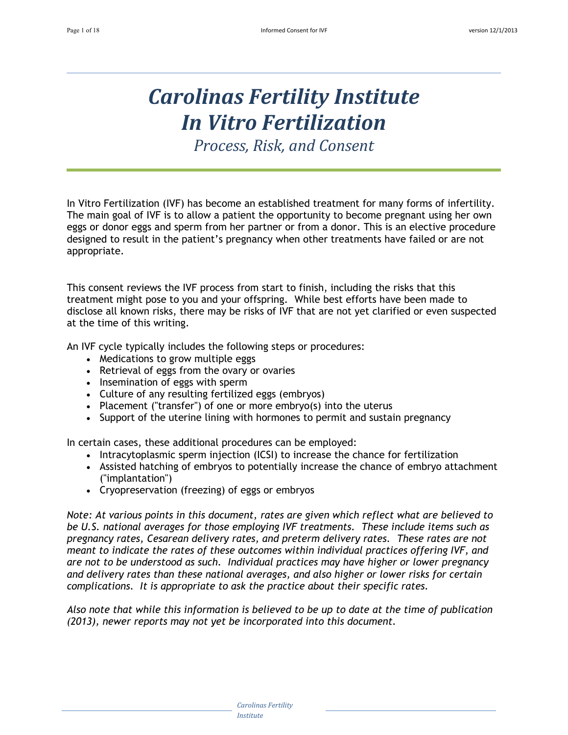# *Carolinas Fertility Institute In Vitro Fertilization*

*Process, Risk, and Consent* 

In Vitro Fertilization (IVF) has become an established treatment for many forms of infertility. The main goal of IVF is to allow a patient the opportunity to become pregnant using her own eggs or donor eggs and sperm from her partner or from a donor. This is an elective procedure designed to result in the patient's pregnancy when other treatments have failed or are not appropriate.

This consent reviews the IVF process from start to finish, including the risks that this treatment might pose to you and your offspring. While best efforts have been made to disclose all known risks, there may be risks of IVF that are not yet clarified or even suspected at the time of this writing.

An IVF cycle typically includes the following steps or procedures:

- Medications to grow multiple eggs
- Retrieval of eggs from the ovary or ovaries
- Insemination of eggs with sperm
- Culture of any resulting fertilized eggs (embryos)
- Placement ("transfer") of one or more embryo(s) into the uterus
- Support of the uterine lining with hormones to permit and sustain pregnancy

In certain cases, these additional procedures can be employed:

- Intracytoplasmic sperm injection (ICSI) to increase the chance for fertilization
- Assisted hatching of embryos to potentially increase the chance of embryo attachment ("implantation")
- Cryopreservation (freezing) of eggs or embryos

*Note: At various points in this document, rates are given which reflect what are believed to be U.S. national averages for those employing IVF treatments. These include items such as pregnancy rates, Cesarean delivery rates, and preterm delivery rates. These rates are not meant to indicate the rates of these outcomes within individual practices offering IVF, and are not to be understood as such. Individual practices may have higher or lower pregnancy and delivery rates than these national averages, and also higher or lower risks for certain complications. It is appropriate to ask the practice about their specific rates.*

*Also note that while this information is believed to be up to date at the time of publication (2013), newer reports may not yet be incorporated into this document.*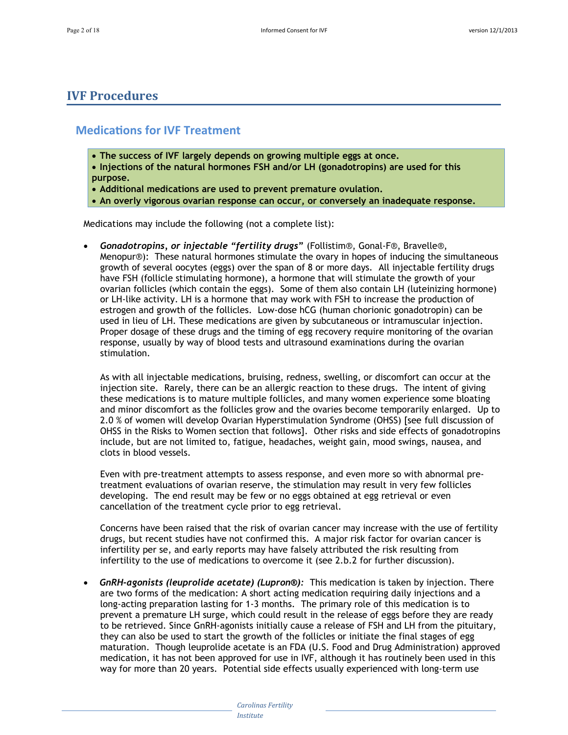## **IVF Procedures**

### **Medications for IVF Treatment**

- **The success of IVF largely depends on growing multiple eggs at once.**
- **Injections of the natural hormones FSH and/or LH (gonadotropins) are used for this purpose.**
- **Additional medications are used to prevent premature ovulation.**
- **An overly vigorous ovarian response can occur, or conversely an inadequate response.**

Medications may include the following (not a complete list):

 *Gonadotropins, or injectable "fertility drugs***"** (Follistim®, Gonal-F®, Bravelle®, Menopur®): These natural hormones stimulate the ovary in hopes of inducing the simultaneous growth of several oocytes (eggs) over the span of 8 or more days. All injectable fertility drugs have FSH (follicle stimulating hormone), a hormone that will stimulate the growth of your ovarian follicles (which contain the eggs). Some of them also contain LH (luteinizing hormone) or LH-like activity. LH is a hormone that may work with FSH to increase the production of estrogen and growth of the follicles. Low-dose hCG (human chorionic gonadotropin) can be used in lieu of LH. These medications are given by subcutaneous or intramuscular injection. Proper dosage of these drugs and the timing of egg recovery require monitoring of the ovarian response, usually by way of blood tests and ultrasound examinations during the ovarian stimulation.

As with all injectable medications, bruising, redness, swelling, or discomfort can occur at the injection site. Rarely, there can be an allergic reaction to these drugs. The intent of giving these medications is to mature multiple follicles, and many women experience some bloating and minor discomfort as the follicles grow and the ovaries become temporarily enlarged. Up to 2.0 % of women will develop Ovarian Hyperstimulation Syndrome (OHSS) [see full discussion of OHSS in the Risks to Women section that follows]. Other risks and side effects of gonadotropins include, but are not limited to, fatigue, headaches, weight gain, mood swings, nausea, and clots in blood vessels.

Even with pre-treatment attempts to assess response, and even more so with abnormal pretreatment evaluations of ovarian reserve, the stimulation may result in very few follicles developing. The end result may be few or no eggs obtained at egg retrieval or even cancellation of the treatment cycle prior to egg retrieval.

Concerns have been raised that the risk of ovarian cancer may increase with the use of fertility drugs, but recent studies have not confirmed this. A major risk factor for ovarian cancer is infertility per se, and early reports may have falsely attributed the risk resulting from infertility to the use of medications to overcome it (see 2.b.2 for further discussion).

 *GnRH-agonists (leuprolide acetate) (Lupron®):* This medication is taken by injection. There are two forms of the medication: A short acting medication requiring daily injections and a long-acting preparation lasting for 1-3 months. The primary role of this medication is to prevent a premature LH surge, which could result in the release of eggs before they are ready to be retrieved. Since GnRH-agonists initially cause a release of FSH and LH from the pituitary, they can also be used to start the growth of the follicles or initiate the final stages of egg maturation. Though leuprolide acetate is an FDA (U.S. Food and Drug Administration) approved medication, it has not been approved for use in IVF, although it has routinely been used in this way for more than 20 years. Potential side effects usually experienced with long-term use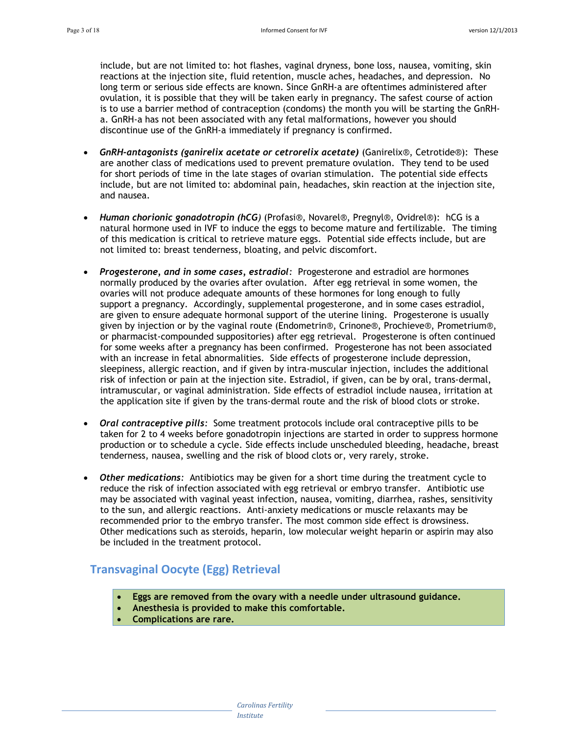include, but are not limited to: hot flashes, vaginal dryness, bone loss, nausea, vomiting, skin reactions at the injection site, fluid retention, muscle aches, headaches, and depression. No long term or serious side effects are known. Since GnRH-a are oftentimes administered after ovulation, it is possible that they will be taken early in pregnancy. The safest course of action is to use a barrier method of contraception (condoms) the month you will be starting the GnRHa. GnRH-a has not been associated with any fetal malformations, however you should discontinue use of the GnRH-a immediately if pregnancy is confirmed.

- *GnRH-antagonists (ganirelix acetate or cetrorelix acetate)* (Ganirelix®, Cetrotide®): These are another class of medications used to prevent premature ovulation. They tend to be used for short periods of time in the late stages of ovarian stimulation. The potential side effects include, but are not limited to: abdominal pain, headaches, skin reaction at the injection site, and nausea.
- *Human chorionic gonadotropin (hCG)* (Profasi®, Novarel®, Pregnyl®, Ovidrel®): hCG is a natural hormone used in IVF to induce the eggs to become mature and fertilizable. The timing of this medication is critical to retrieve mature eggs. Potential side effects include, but are not limited to: breast tenderness, bloating, and pelvic discomfort.
- *Progesterone, and in some cases, estradiol:* Progesterone and estradiol are hormones normally produced by the ovaries after ovulation. After egg retrieval in some women, the ovaries will not produce adequate amounts of these hormones for long enough to fully support a pregnancy. Accordingly, supplemental progesterone, and in some cases estradiol, are given to ensure adequate hormonal support of the uterine lining. Progesterone is usually given by injection or by the vaginal route (Endometrin®, Crinone®, Prochieve®, Prometrium®, or pharmacist-compounded suppositories) after egg retrieval. Progesterone is often continued for some weeks after a pregnancy has been confirmed. Progesterone has not been associated with an increase in fetal abnormalities. Side effects of progesterone include depression, sleepiness, allergic reaction, and if given by intra-muscular injection, includes the additional risk of infection or pain at the injection site. Estradiol, if given, can be by oral, trans-dermal, intramuscular, or vaginal administration. Side effects of estradiol include nausea, irritation at the application site if given by the trans-dermal route and the risk of blood clots or stroke.
- *Oral contraceptive pills:* Some treatment protocols include oral contraceptive pills to be taken for 2 to 4 weeks before gonadotropin injections are started in order to suppress hormone production or to schedule a cycle. Side effects include unscheduled bleeding, headache, breast tenderness, nausea, swelling and the risk of blood clots or, very rarely, stroke.
- *Other medications:* Antibiotics may be given for a short time during the treatment cycle to reduce the risk of infection associated with egg retrieval or embryo transfer. Antibiotic use may be associated with vaginal yeast infection, nausea, vomiting, diarrhea, rashes, sensitivity to the sun, and allergic reactions. Anti-anxiety medications or muscle relaxants may be recommended prior to the embryo transfer. The most common side effect is drowsiness. Other medications such as steroids, heparin, low molecular weight heparin or aspirin may also be included in the treatment protocol.

#### **Transvaginal Oocyte (Egg) Retrieval**

- **Eggs are removed from the ovary with a needle under ultrasound guidance.**
- **Anesthesia is provided to make this comfortable.**
- **Complications are rare.**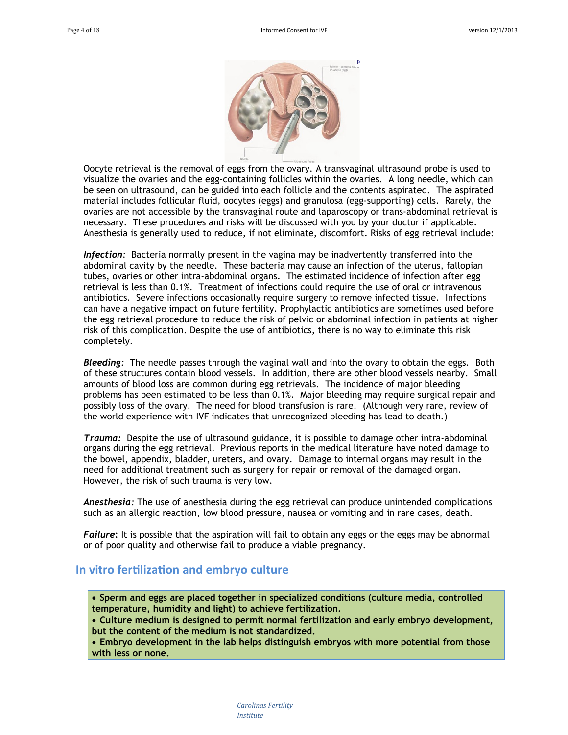

Oocyte retrieval is the removal of eggs from the ovary. A transvaginal ultrasound probe is used to visualize the ovaries and the egg-containing follicles within the ovaries. A long needle, which can be seen on ultrasound, can be guided into each follicle and the contents aspirated. The aspirated material includes follicular fluid, oocytes (eggs) and granulosa (egg-supporting) cells. Rarely, the ovaries are not accessible by the transvaginal route and laparoscopy or trans-abdominal retrieval is necessary. These procedures and risks will be discussed with you by your doctor if applicable. Anesthesia is generally used to reduce, if not eliminate, discomfort. Risks of egg retrieval include:

*Infection:* Bacteria normally present in the vagina may be inadvertently transferred into the abdominal cavity by the needle. These bacteria may cause an infection of the uterus, fallopian tubes, ovaries or other intra-abdominal organs. The estimated incidence of infection after egg retrieval is less than 0.1%. Treatment of infections could require the use of oral or intravenous antibiotics. Severe infections occasionally require surgery to remove infected tissue. Infections can have a negative impact on future fertility. Prophylactic antibiotics are sometimes used before the egg retrieval procedure to reduce the risk of pelvic or abdominal infection in patients at higher risk of this complication. Despite the use of antibiotics, there is no way to eliminate this risk completely.

*Bleeding:* The needle passes through the vaginal wall and into the ovary to obtain the eggs. Both of these structures contain blood vessels. In addition, there are other blood vessels nearby. Small amounts of blood loss are common during egg retrievals. The incidence of major bleeding problems has been estimated to be less than 0.1%. Major bleeding may require surgical repair and possibly loss of the ovary. The need for blood transfusion is rare. (Although very rare, review of the world experience with IVF indicates that unrecognized bleeding has lead to death.)

*Trauma:* Despite the use of ultrasound guidance, it is possible to damage other intra-abdominal organs during the egg retrieval. Previous reports in the medical literature have noted damage to the bowel, appendix, bladder, ureters, and ovary. Damage to internal organs may result in the need for additional treatment such as surgery for repair or removal of the damaged organ. However, the risk of such trauma is very low.

*Anesthesia:* The use of anesthesia during the egg retrieval can produce unintended complications such as an allergic reaction, low blood pressure, nausea or vomiting and in rare cases, death.

*Failure***:** It is possible that the aspiration will fail to obtain any eggs or the eggs may be abnormal or of poor quality and otherwise fail to produce a viable pregnancy.

#### **In vitro fertilization and embryo culture**

 **Sperm and eggs are placed together in specialized conditions (culture media, controlled temperature, humidity and light) to achieve fertilization.** 

 **Culture medium is designed to permit normal fertilization and early embryo development, but the content of the medium is not standardized.**

 **Embryo development in the lab helps distinguish embryos with more potential from those with less or none.**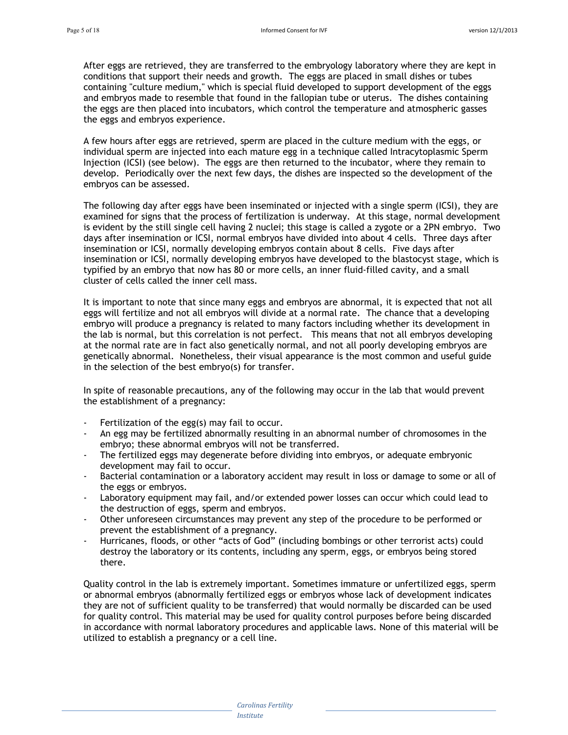After eggs are retrieved, they are transferred to the embryology laboratory where they are kept in conditions that support their needs and growth. The eggs are placed in small dishes or tubes containing "culture medium," which is special fluid developed to support development of the eggs and embryos made to resemble that found in the fallopian tube or uterus. The dishes containing the eggs are then placed into incubators, which control the temperature and atmospheric gasses the eggs and embryos experience.

A few hours after eggs are retrieved, sperm are placed in the culture medium with the eggs, or individual sperm are injected into each mature egg in a technique called Intracytoplasmic Sperm Injection (ICSI) (see below). The eggs are then returned to the incubator, where they remain to develop. Periodically over the next few days, the dishes are inspected so the development of the embryos can be assessed.

The following day after eggs have been inseminated or injected with a single sperm (ICSI), they are examined for signs that the process of fertilization is underway. At this stage, normal development is evident by the still single cell having 2 nuclei; this stage is called a zygote or a 2PN embryo. Two days after insemination or ICSI, normal embryos have divided into about 4 cells. Three days after insemination or ICSI, normally developing embryos contain about 8 cells. Five days after insemination or ICSI, normally developing embryos have developed to the blastocyst stage, which is typified by an embryo that now has 80 or more cells, an inner fluid-filled cavity, and a small cluster of cells called the inner cell mass.

It is important to note that since many eggs and embryos are abnormal, it is expected that not all eggs will fertilize and not all embryos will divide at a normal rate. The chance that a developing embryo will produce a pregnancy is related to many factors including whether its development in the lab is normal, but this correlation is not perfect. This means that not all embryos developing at the normal rate are in fact also genetically normal, and not all poorly developing embryos are genetically abnormal. Nonetheless, their visual appearance is the most common and useful guide in the selection of the best embryo(s) for transfer.

In spite of reasonable precautions, any of the following may occur in the lab that would prevent the establishment of a pregnancy:

- Fertilization of the egg(s) may fail to occur.
- An egg may be fertilized abnormally resulting in an abnormal number of chromosomes in the embryo; these abnormal embryos will not be transferred.
- The fertilized eggs may degenerate before dividing into embryos, or adequate embryonic development may fail to occur.
- Bacterial contamination or a laboratory accident may result in loss or damage to some or all of the eggs or embryos.
- Laboratory equipment may fail, and/or extended power losses can occur which could lead to the destruction of eggs, sperm and embryos.
- Other unforeseen circumstances may prevent any step of the procedure to be performed or prevent the establishment of a pregnancy.
- Hurricanes, floods, or other "acts of God" (including bombings or other terrorist acts) could destroy the laboratory or its contents, including any sperm, eggs, or embryos being stored there.

Quality control in the lab is extremely important. Sometimes immature or unfertilized eggs, sperm or abnormal embryos (abnormally fertilized eggs or embryos whose lack of development indicates they are not of sufficient quality to be transferred) that would normally be discarded can be used for quality control. This material may be used for quality control purposes before being discarded in accordance with normal laboratory procedures and applicable laws. None of this material will be utilized to establish a pregnancy or a cell line.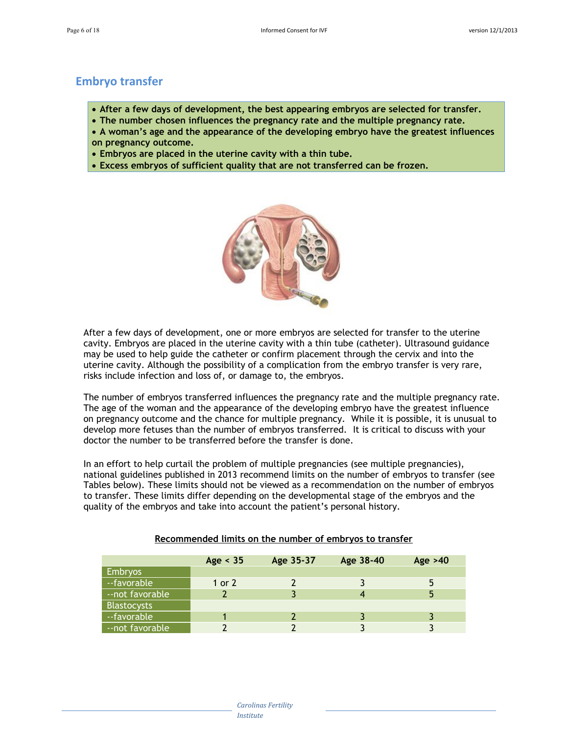#### **Embryo transfer**

- **After a few days of development, the best appearing embryos are selected for transfer.**
- **The number chosen influences the pregnancy rate and the multiple pregnancy rate.**
- **A woman's age and the appearance of the developing embryo have the greatest influences on pregnancy outcome.**
- **Embryos are placed in the uterine cavity with a thin tube.**
- **Excess embryos of sufficient quality that are not transferred can be frozen.**



After a few days of development, one or more embryos are selected for transfer to the uterine cavity. Embryos are placed in the uterine cavity with a thin tube (catheter). Ultrasound guidance may be used to help guide the catheter or confirm placement through the cervix and into the uterine cavity. Although the possibility of a complication from the embryo transfer is very rare, risks include infection and loss of, or damage to, the embryos.

The number of embryos transferred influences the pregnancy rate and the multiple pregnancy rate. The age of the woman and the appearance of the developing embryo have the greatest influence on pregnancy outcome and the chance for multiple pregnancy. While it is possible, it is unusual to develop more fetuses than the number of embryos transferred. It is critical to discuss with your doctor the number to be transferred before the transfer is done.

In an effort to help curtail the problem of multiple pregnancies (see multiple pregnancies), national guidelines published in 2013 recommend limits on the number of embryos to transfer (see Tables below). These limits should not be viewed as a recommendation on the number of embryos to transfer. These limits differ depending on the developmental stage of the embryos and the quality of the embryos and take into account the patient's personal history.

|                    | Age $<$ 35 | Age 35-37 | Age 38-40 | Age $>40$ |
|--------------------|------------|-----------|-----------|-----------|
| <b>Embryos</b>     |            |           |           |           |
| --favorable        | 1 or 2     |           |           | 5         |
| --not favorable    |            |           |           | 5         |
| <b>Blastocysts</b> |            |           |           |           |
| --favorable        |            |           |           |           |
| --not favorable    |            |           |           |           |

#### **Recommended limits on the number of embryos to transfer**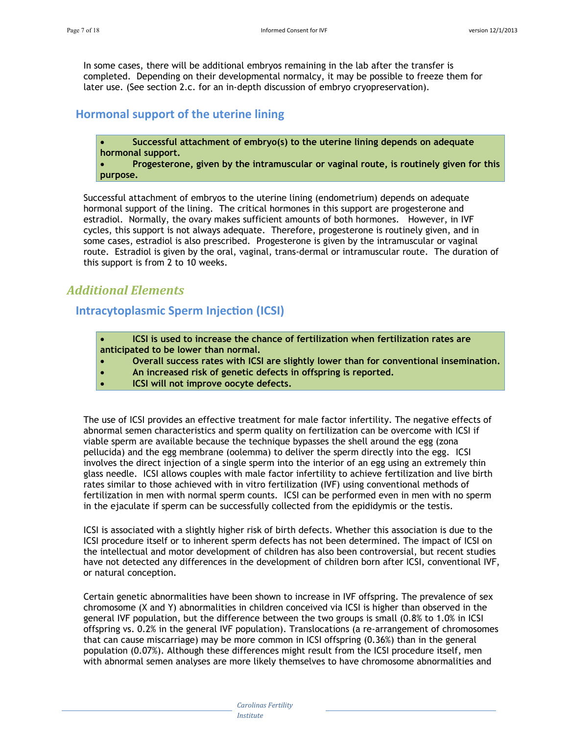In some cases, there will be additional embryos remaining in the lab after the transfer is completed. Depending on their developmental normalcy, it may be possible to freeze them for later use. (See section 2.c. for an in-depth discussion of embryo cryopreservation).

### **Hormonal support of the uterine lining**

 **Successful attachment of embryo(s) to the uterine lining depends on adequate hormonal support.** 

 **Progesterone, given by the intramuscular or vaginal route, is routinely given for this purpose.** 

Successful attachment of embryos to the uterine lining (endometrium) depends on adequate hormonal support of the lining. The critical hormones in this support are progesterone and estradiol. Normally, the ovary makes sufficient amounts of both hormones. However, in IVF cycles, this support is not always adequate. Therefore, progesterone is routinely given, and in some cases, estradiol is also prescribed. Progesterone is given by the intramuscular or vaginal route. Estradiol is given by the oral, vaginal, trans-dermal or intramuscular route. The duration of this support is from 2 to 10 weeks.

## *Additional Elements*

 **Intracytoplasmic Sperm Injection (ICSI)**

- **ICSI is used to increase the chance of fertilization when fertilization rates are anticipated to be lower than normal.**
- **Overall success rates with ICSI are slightly lower than for conventional insemination.**
- **An increased risk of genetic defects in offspring is reported.**
- **ICSI will not improve oocyte defects.**

The use of ICSI provides an effective treatment for male factor infertility. The negative effects of abnormal semen characteristics and sperm quality on fertilization can be overcome with ICSI if viable sperm are available because the technique bypasses the shell around the egg (zona pellucida) and the egg membrane (oolemma) to deliver the sperm directly into the egg. ICSI involves the direct injection of a single sperm into the interior of an egg using an extremely thin glass needle. ICSI allows couples with male factor infertility to achieve fertilization and live birth rates similar to those achieved with in vitro fertilization (IVF) using conventional methods of fertilization in men with normal sperm counts. ICSI can be performed even in men with no sperm in the ejaculate if sperm can be successfully collected from the epididymis or the testis.

ICSI is associated with a slightly higher risk of birth defects. Whether this association is due to the ICSI procedure itself or to inherent sperm defects has not been determined. The impact of ICSI on the intellectual and motor development of children has also been controversial, but recent studies have not detected any differences in the development of children born after ICSI, conventional IVF, or natural conception.

Certain genetic abnormalities have been shown to increase in IVF offspring. The prevalence of sex chromosome (X and Y) abnormalities in children conceived via ICSI is higher than observed in the general IVF population, but the difference between the two groups is small (0.8% to 1.0% in ICSI offspring vs. 0.2% in the general IVF population). Translocations (a re-arrangement of chromosomes that can cause miscarriage) may be more common in ICSI offspring (0.36%) than in the general population (0.07%). Although these differences might result from the ICSI procedure itself, men with abnormal semen analyses are more likely themselves to have chromosome abnormalities and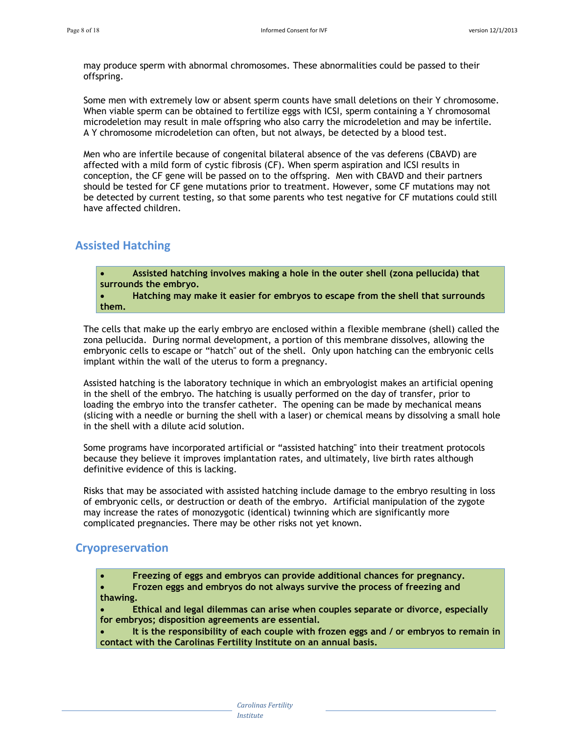may produce sperm with abnormal chromosomes. These abnormalities could be passed to their offspring.

Some men with extremely low or absent sperm counts have small deletions on their Y chromosome. When viable sperm can be obtained to fertilize eggs with ICSI, sperm containing a Y chromosomal microdeletion may result in male offspring who also carry the microdeletion and may be infertile. A Y chromosome microdeletion can often, but not always, be detected by a blood test.

Men who are infertile because of congenital bilateral absence of the vas deferens (CBAVD) are affected with a mild form of cystic fibrosis (CF). When sperm aspiration and ICSI results in conception, the CF gene will be passed on to the offspring. Men with CBAVD and their partners should be tested for CF gene mutations prior to treatment. However, some CF mutations may not be detected by current testing, so that some parents who test negative for CF mutations could still have affected children.

#### **Assisted Hatching**

 **Assisted hatching involves making a hole in the outer shell (zona pellucida) that surrounds the embryo.** 

 **Hatching may make it easier for embryos to escape from the shell that surrounds them.**

The cells that make up the early embryo are enclosed within a flexible membrane (shell) called the zona pellucida. During normal development, a portion of this membrane dissolves, allowing the embryonic cells to escape or "hatch" out of the shell. Only upon hatching can the embryonic cells implant within the wall of the uterus to form a pregnancy.

Assisted hatching is the laboratory technique in which an embryologist makes an artificial opening in the shell of the embryo. The hatching is usually performed on the day of transfer, prior to loading the embryo into the transfer catheter. The opening can be made by mechanical means (slicing with a needle or burning the shell with a laser) or chemical means by dissolving a small hole in the shell with a dilute acid solution.

Some programs have incorporated artificial or "assisted hatching" into their treatment protocols because they believe it improves implantation rates, and ultimately, live birth rates although definitive evidence of this is lacking.

Risks that may be associated with assisted hatching include damage to the embryo resulting in loss of embryonic cells, or destruction or death of the embryo. Artificial manipulation of the zygote may increase the rates of monozygotic (identical) twinning which are significantly more complicated pregnancies. There may be other risks not yet known.

#### **Cryopreservation**

- **Freezing of eggs and embryos can provide additional chances for pregnancy. Frozen eggs and embryos do not always survive the process of freezing and thawing.**
- **Ethical and legal dilemmas can arise when couples separate or divorce, especially for embryos; disposition agreements are essential.**
- **It is the responsibility of each couple with frozen eggs and / or embryos to remain in contact with the Carolinas Fertility Institute on an annual basis.**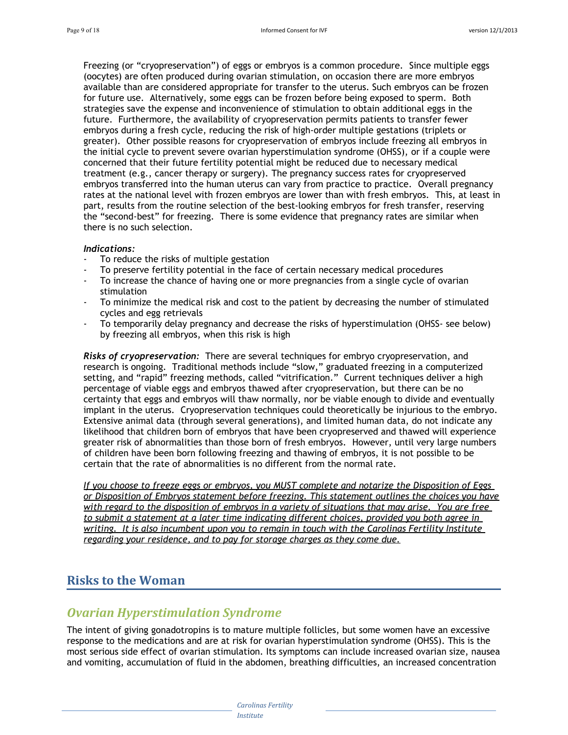Freezing (or "cryopreservation") of eggs or embryos is a common procedure. Since multiple eggs (oocytes) are often produced during ovarian stimulation, on occasion there are more embryos available than are considered appropriate for transfer to the uterus. Such embryos can be frozen for future use. Alternatively, some eggs can be frozen before being exposed to sperm. Both strategies save the expense and inconvenience of stimulation to obtain additional eggs in the future. Furthermore, the availability of cryopreservation permits patients to transfer fewer embryos during a fresh cycle, reducing the risk of high-order multiple gestations (triplets or greater). Other possible reasons for cryopreservation of embryos include freezing all embryos in the initial cycle to prevent severe ovarian hyperstimulation syndrome (OHSS), or if a couple were concerned that their future fertility potential might be reduced due to necessary medical treatment (e.g., cancer therapy or surgery). The pregnancy success rates for cryopreserved embryos transferred into the human uterus can vary from practice to practice. Overall pregnancy rates at the national level with frozen embryos are lower than with fresh embryos. This, at least in part, results from the routine selection of the best-looking embryos for fresh transfer, reserving the "second-best" for freezing. There is some evidence that pregnancy rates are similar when there is no such selection.

#### *Indications:*

- To reduce the risks of multiple gestation
- To preserve fertility potential in the face of certain necessary medical procedures
- To increase the chance of having one or more pregnancies from a single cycle of ovarian stimulation
- To minimize the medical risk and cost to the patient by decreasing the number of stimulated cycles and egg retrievals
- To temporarily delay pregnancy and decrease the risks of hyperstimulation (OHSS- see below) by freezing all embryos, when this risk is high

*Risks of cryopreservation:* There are several techniques for embryo cryopreservation, and research is ongoing. Traditional methods include "slow," graduated freezing in a computerized setting, and "rapid" freezing methods, called "vitrification." Current techniques deliver a high percentage of viable eggs and embryos thawed after cryopreservation, but there can be no certainty that eggs and embryos will thaw normally, nor be viable enough to divide and eventually implant in the uterus. Cryopreservation techniques could theoretically be injurious to the embryo. Extensive animal data (through several generations), and limited human data, do not indicate any likelihood that children born of embryos that have been cryopreserved and thawed will experience greater risk of abnormalities than those born of fresh embryos. However, until very large numbers of children have been born following freezing and thawing of embryos, it is not possible to be certain that the rate of abnormalities is no different from the normal rate.

*If you choose to freeze eggs or embryos, you MUST complete and notarize the Disposition of Eggs or Disposition of Embryos statement before freezing. This statement outlines the choices you have with regard to the disposition of embryos in a variety of situations that may arise. You are free to submit a statement at a later time indicating different choices, provided you both agree in writing. It is also incumbent upon you to remain in touch with the Carolinas Fertility Institute regarding your residence, and to pay for storage charges as they come due.*

#### **Risks to the Woman**

#### *Ovarian Hyperstimulation Syndrome*

The intent of giving gonadotropins is to mature multiple follicles, but some women have an excessive response to the medications and are at risk for ovarian hyperstimulation syndrome (OHSS). This is the most serious side effect of ovarian stimulation. Its symptoms can include increased ovarian size, nausea and vomiting, accumulation of fluid in the abdomen, breathing difficulties, an increased concentration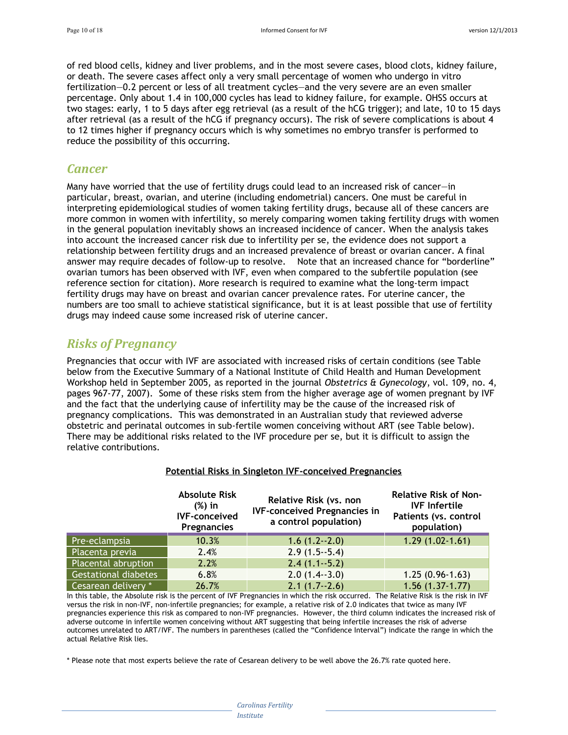of red blood cells, kidney and liver problems, and in the most severe cases, blood clots, kidney failure, or death. The severe cases affect only a very small percentage of women who undergo in vitro fertilization—0.2 percent or less of all treatment cycles—and the very severe are an even smaller percentage. Only about 1.4 in 100,000 cycles has lead to kidney failure, for example. OHSS occurs at two stages: early, 1 to 5 days after egg retrieval (as a result of the hCG trigger); and late, 10 to 15 days after retrieval (as a result of the hCG if pregnancy occurs). The risk of severe complications is about 4 to 12 times higher if pregnancy occurs which is why sometimes no embryo transfer is performed to reduce the possibility of this occurring.

#### *Cancer*

Many have worried that the use of fertility drugs could lead to an increased risk of cancer—in particular, breast, ovarian, and uterine (including endometrial) cancers. One must be careful in interpreting epidemiological studies of women taking fertility drugs, because all of these cancers are more common in women with infertility, so merely comparing women taking fertility drugs with women in the general population inevitably shows an increased incidence of cancer. When the analysis takes into account the increased cancer risk due to infertility per se, the evidence does not support a relationship between fertility drugs and an increased prevalence of breast or ovarian cancer. A final answer may require decades of follow-up to resolve. Note that an increased chance for "borderline" ovarian tumors has been observed with IVF, even when compared to the subfertile population (see reference section for citation). More research is required to examine what the long-term impact fertility drugs may have on breast and ovarian cancer prevalence rates. For uterine cancer, the numbers are too small to achieve statistical significance, but it is at least possible that use of fertility drugs may indeed cause some increased risk of uterine cancer.

## *Risks of Pregnancy*

Pregnancies that occur with IVF are associated with increased risks of certain conditions (see Table below from the Executive Summary of a National Institute of Child Health and Human Development Workshop held in September 2005, as reported in the journal *Obstetrics & Gynecology*, vol. 109, no. 4, pages 967-77, 2007). Some of these risks stem from the higher average age of women pregnant by IVF and the fact that the underlying cause of infertility may be the cause of the increased risk of pregnancy complications. This was demonstrated in an Australian study that reviewed adverse obstetric and perinatal outcomes in sub-fertile women conceiving without ART (see Table below). There may be additional risks related to the IVF procedure per se, but it is difficult to assign the relative contributions.

|                             | <b>Absolute Risk</b><br>(%) in<br><b>IVF-conceived</b><br>Pregnancies | Relative Risk (vs. non<br><b>IVF-conceived Pregnancies in</b><br>a control population) | <b>Relative Risk of Non-</b><br><b>IVF</b> Infertile<br>Patients (vs. control<br>population) |
|-----------------------------|-----------------------------------------------------------------------|----------------------------------------------------------------------------------------|----------------------------------------------------------------------------------------------|
| Pre-eclampsia               | 10.3%                                                                 | $1.6(1.2-2.0)$                                                                         | $1.29(1.02-1.61)$                                                                            |
| Placenta previa             | 2.4%                                                                  | $2.9(1.5-5.4)$                                                                         |                                                                                              |
| Placental abruption         | 2.2%                                                                  | $2.4(1.1-5.2)$                                                                         |                                                                                              |
| <b>Gestational diabetes</b> | 6.8%                                                                  | $2.0(1.4-3.0)$                                                                         | $1.25(0.96-1.63)$                                                                            |
| Cesarean delivery *         | 26.7%                                                                 | $2.1(1.7-2.6)$                                                                         | $1.56(1.37-1.77)$                                                                            |

#### **Potential Risks in Singleton IVF-conceived Pregnancies**

In this table, the Absolute risk is the percent of IVF Pregnancies in which the risk occurred. The Relative Risk is the risk in IVF versus the risk in non-IVF, non-infertile pregnancies; for example, a relative risk of 2.0 indicates that twice as many IVF pregnancies experience this risk as compared to non-IVF pregnancies. However, the third column indicates the increased risk of adverse outcome in infertile women conceiving without ART suggesting that being infertile increases the risk of adverse outcomes unrelated to ART/IVF. The numbers in parentheses (called the "Confidence Interval") indicate the range in which the actual Relative Risk lies.

\* Please note that most experts believe the rate of Cesarean delivery to be well above the 26.7% rate quoted here.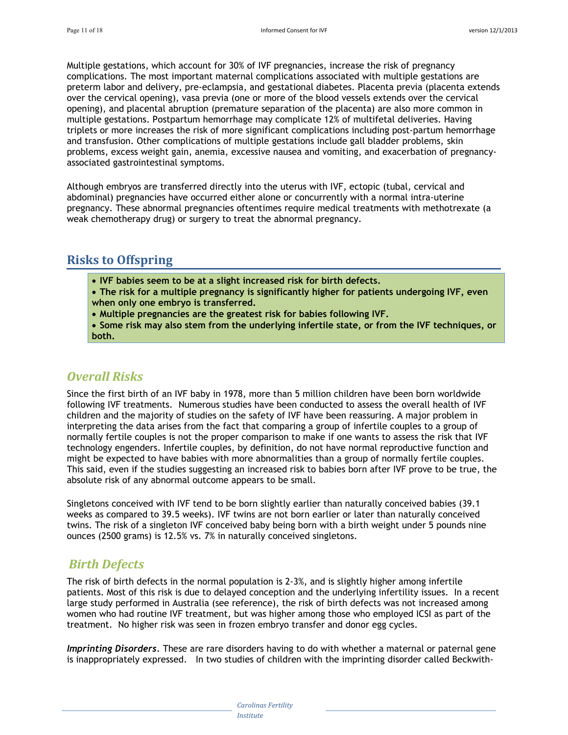Multiple gestations, which account for 30% of IVF pregnancies, increase the risk of pregnancy complications. The most important maternal complications associated with multiple gestations are preterm labor and delivery, pre-eclampsia, and gestational diabetes. Placenta previa (placenta extends over the cervical opening), vasa previa (one or more of the blood vessels extends over the cervical opening), and placental abruption (premature separation of the placenta) are also more common in multiple gestations. Postpartum hemorrhage may complicate 12% of multifetal deliveries. Having triplets or more increases the risk of more significant complications including post-partum hemorrhage and transfusion. Other complications of multiple gestations include gall bladder problems, skin problems, excess weight gain, anemia, excessive nausea and vomiting, and exacerbation of pregnancyassociated gastrointestinal symptoms.

Although embryos are transferred directly into the uterus with IVF, ectopic (tubal, cervical and abdominal) pregnancies have occurred either alone or concurrently with a normal intra-uterine pregnancy. These abnormal pregnancies oftentimes require medical treatments with methotrexate (a weak chemotherapy drug) or surgery to treat the abnormal pregnancy.

## **Risks to Offspring**

- **IVF babies seem to be at a slight increased risk for birth defects.**
- **The risk for a multiple pregnancy is significantly higher for patients undergoing IVF, even when only one embryo is transferred.**
- **Multiple pregnancies are the greatest risk for babies following IVF.**

 **Some risk may also stem from the underlying infertile state, or from the IVF techniques, or both.** 

#### *Overall Risks*

Since the first birth of an IVF baby in 1978, more than 5 million children have been born worldwide following IVF treatments. Numerous studies have been conducted to assess the overall health of IVF children and the majority of studies on the safety of IVF have been reassuring. A major problem in interpreting the data arises from the fact that comparing a group of infertile couples to a group of normally fertile couples is not the proper comparison to make if one wants to assess the risk that IVF technology engenders. Infertile couples, by definition, do not have normal reproductive function and might be expected to have babies with more abnormalities than a group of normally fertile couples. This said, even if the studies suggesting an increased risk to babies born after IVF prove to be true, the absolute risk of any abnormal outcome appears to be small.

Singletons conceived with IVF tend to be born slightly earlier than naturally conceived babies (39.1 weeks as compared to 39.5 weeks). IVF twins are not born earlier or later than naturally conceived twins. The risk of a singleton IVF conceived baby being born with a birth weight under 5 pounds nine ounces (2500 grams) is 12.5% vs. 7% in naturally conceived singletons.

## *Birth Defects*

The risk of birth defects in the normal population is 2-3%, and is slightly higher among infertile patients. Most of this risk is due to delayed conception and the underlying infertility issues. In a recent large study performed in Australia (see reference), the risk of birth defects was not increased among women who had routine IVF treatment, but was higher among those who employed ICSI as part of the treatment. No higher risk was seen in frozen embryo transfer and donor egg cycles.

*Imprinting Disorders.* These are rare disorders having to do with whether a maternal or paternal gene is inappropriately expressed. In two studies of children with the imprinting disorder called Beckwith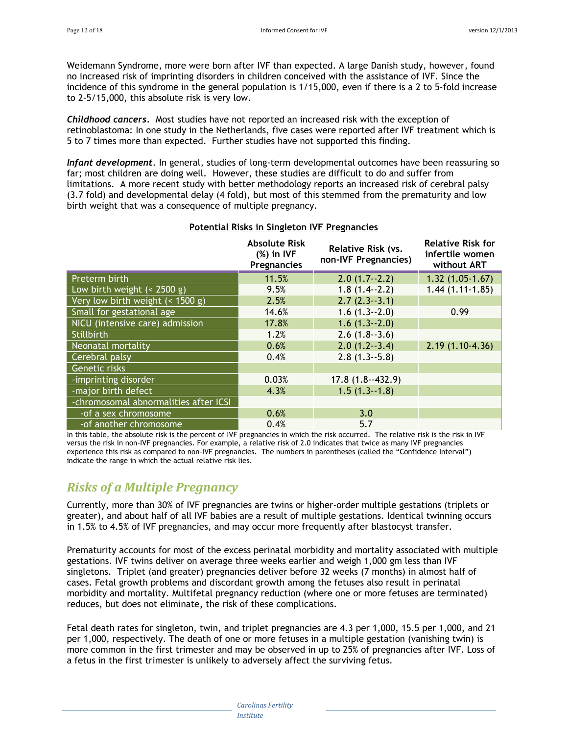Weidemann Syndrome, more were born after IVF than expected. A large Danish study, however, found no increased risk of imprinting disorders in children conceived with the assistance of IVF. Since the incidence of this syndrome in the general population is 1/15,000, even if there is a 2 to 5-fold increase to 2-5/15,000, this absolute risk is very low.

*Childhood cancers.* Most studies have not reported an increased risk with the exception of retinoblastoma: In one study in the Netherlands, five cases were reported after IVF treatment which is 5 to 7 times more than expected. Further studies have not supported this finding.

*Infant development.* In general, studies of long-term developmental outcomes have been reassuring so far; most children are doing well. However, these studies are difficult to do and suffer from limitations. A more recent study with better methodology reports an increased risk of cerebral palsy (3.7 fold) and developmental delay (4 fold), but most of this stemmed from the prematurity and low birth weight that was a consequence of multiple pregnancy.

|                                       | <b>Absolute Risk</b><br>$(% )$ in IVF<br>Pregnancies | Relative Risk (vs.<br>non-IVF Pregnancies) | <b>Relative Risk for</b><br>infertile women<br>without ART |
|---------------------------------------|------------------------------------------------------|--------------------------------------------|------------------------------------------------------------|
| Preterm birth                         | 11.5%                                                | $2.0(1.7-2.2)$                             | $1.32(1.05-1.67)$                                          |
| Low birth weight $(< 2500 g)$         | 9.5%                                                 | $1.8(1.4-2.2)$                             | $1.44(1.11-1.85)$                                          |
| Very low birth weight (< 1500 g)      | 2.5%                                                 | $2.7(2.3-3.1)$                             |                                                            |
| Small for gestational age             | 14.6%                                                | $1.6(1.3-2.0)$                             | 0.99                                                       |
| NICU (intensive care) admission       | 17.8%                                                | $1.6(1.3-2.0)$                             |                                                            |
| Stillbirth                            | 1.2%                                                 | $2.6(1.8-3.6)$                             |                                                            |
| Neonatal mortality                    | 0.6%                                                 | $2.0(1.2-3.4)$                             | $2.19(1.10-4.36)$                                          |
| Cerebral palsy                        | 0.4%                                                 | $2.8(1.3-5.8)$                             |                                                            |
| Genetic risks                         |                                                      |                                            |                                                            |
| -imprinting disorder                  | 0.03%                                                | $17.8(1.8-432.9)$                          |                                                            |
| -major birth defect                   | 4.3%                                                 | $1.5(1.3-1.8)$                             |                                                            |
| -chromosomal abnormalities after ICSI |                                                      |                                            |                                                            |
| -of a sex chromosome                  | 0.6%                                                 | 3.0                                        |                                                            |
| -of another chromosome                | 0.4%                                                 | 5.7                                        |                                                            |

#### **Potential Risks in Singleton IVF Pregnancies**

In this table, the absolute risk is the percent of IVF pregnancies in which the risk occurred. The relative risk is the risk in IVF versus the risk in non-IVF pregnancies. For example, a relative risk of 2.0 indicates that twice as many IVF pregnancies experience this risk as compared to non-IVF pregnancies. The numbers in parentheses (called the "Confidence Interval") indicate the range in which the actual relative risk lies.

## *Risks of a Multiple Pregnancy*

Currently, more than 30% of IVF pregnancies are twins or higher-order multiple gestations (triplets or greater), and about half of all IVF babies are a result of multiple gestations. Identical twinning occurs in 1.5% to 4.5% of IVF pregnancies, and may occur more frequently after blastocyst transfer.

Prematurity accounts for most of the excess perinatal morbidity and mortality associated with multiple gestations. IVF twins deliver on average three weeks earlier and weigh 1,000 gm less than IVF singletons. Triplet (and greater) pregnancies deliver before 32 weeks (7 months) in almost half of cases. Fetal growth problems and discordant growth among the fetuses also result in perinatal morbidity and mortality. Multifetal pregnancy reduction (where one or more fetuses are terminated) reduces, but does not eliminate, the risk of these complications.

Fetal death rates for singleton, twin, and triplet pregnancies are 4.3 per 1,000, 15.5 per 1,000, and 21 per 1,000, respectively. The death of one or more fetuses in a multiple gestation (vanishing twin) is more common in the first trimester and may be observed in up to 25% of pregnancies after IVF. Loss of a fetus in the first trimester is unlikely to adversely affect the surviving fetus.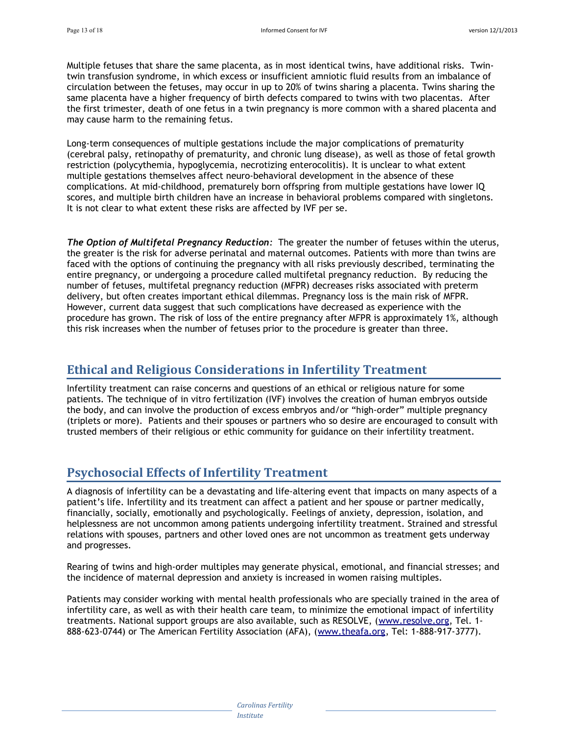Multiple fetuses that share the same placenta, as in most identical twins, have additional risks. Twintwin transfusion syndrome, in which excess or insufficient amniotic fluid results from an imbalance of circulation between the fetuses, may occur in up to 20% of twins sharing a placenta. Twins sharing the same placenta have a higher frequency of birth defects compared to twins with two placentas. After the first trimester, death of one fetus in a twin pregnancy is more common with a shared placenta and may cause harm to the remaining fetus.

Long-term consequences of multiple gestations include the major complications of prematurity (cerebral palsy, retinopathy of prematurity, and chronic lung disease), as well as those of fetal growth restriction (polycythemia, hypoglycemia, necrotizing enterocolitis). It is unclear to what extent multiple gestations themselves affect neuro-behavioral development in the absence of these complications. At mid-childhood, prematurely born offspring from multiple gestations have lower IQ scores, and multiple birth children have an increase in behavioral problems compared with singletons. It is not clear to what extent these risks are affected by IVF per se.

*The Option of Multifetal Pregnancy Reduction:* The greater the number of fetuses within the uterus, the greater is the risk for adverse perinatal and maternal outcomes. Patients with more than twins are faced with the options of continuing the pregnancy with all risks previously described, terminating the entire pregnancy, or undergoing a procedure called multifetal pregnancy reduction. By reducing the number of fetuses, multifetal pregnancy reduction (MFPR) decreases risks associated with preterm delivery, but often creates important ethical dilemmas. Pregnancy loss is the main risk of MFPR. However, current data suggest that such complications have decreased as experience with the procedure has grown. The risk of loss of the entire pregnancy after MFPR is approximately 1%, although this risk increases when the number of fetuses prior to the procedure is greater than three.

#### **Ethical and Religious Considerations in Infertility Treatment**

Infertility treatment can raise concerns and questions of an ethical or religious nature for some patients. The technique of in vitro fertilization (IVF) involves the creation of human embryos outside the body, and can involve the production of excess embryos and/or "high-order" multiple pregnancy (triplets or more). Patients and their spouses or partners who so desire are encouraged to consult with trusted members of their religious or ethic community for guidance on their infertility treatment.

#### **Psychosocial Effects of Infertility Treatment**

A diagnosis of infertility can be a devastating and life-altering event that impacts on many aspects of a patient's life. Infertility and its treatment can affect a patient and her spouse or partner medically, financially, socially, emotionally and psychologically. Feelings of anxiety, depression, isolation, and helplessness are not uncommon among patients undergoing infertility treatment. Strained and stressful relations with spouses, partners and other loved ones are not uncommon as treatment gets underway and progresses.

Rearing of twins and high-order multiples may generate physical, emotional, and financial stresses; and the incidence of maternal depression and anxiety is increased in women raising multiples.

Patients may consider working with mental health professionals who are specially trained in the area of infertility care, as well as with their health care team, to minimize the emotional impact of infertility treatments. National support groups are also available, such as RESOLVE, ([www.resolve.org](http://www.resolve.org/), Tel. 1- 888-623-0744) or The American Fertility Association (AFA), [\(www.theafa.org,](http://www.theafa.org/) Tel: 1-888-917-3777).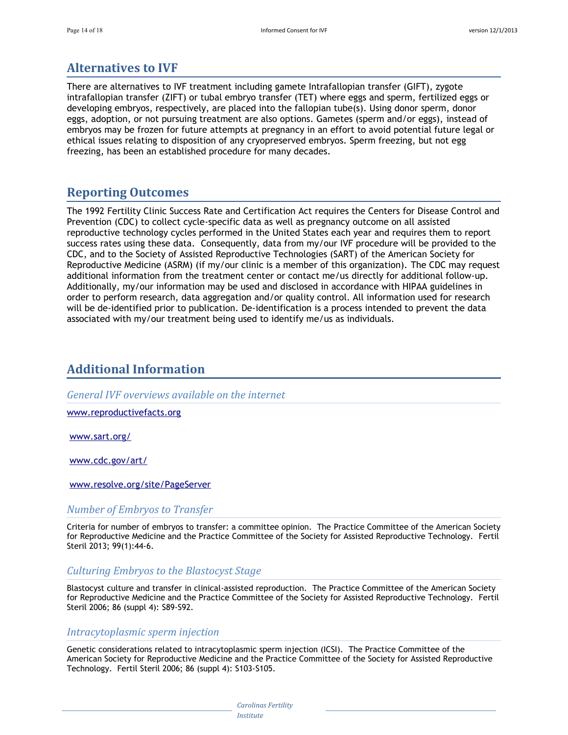## **Alternatives to IVF**

There are alternatives to IVF treatment including gamete Intrafallopian transfer (GIFT), zygote intrafallopian transfer (ZIFT) or tubal embryo transfer (TET) where eggs and sperm, fertilized eggs or developing embryos, respectively, are placed into the fallopian tube(s). Using donor sperm, donor eggs, adoption, or not pursuing treatment are also options. Gametes (sperm and/or eggs), instead of embryos may be frozen for future attempts at pregnancy in an effort to avoid potential future legal or ethical issues relating to disposition of any cryopreserved embryos. Sperm freezing, but not egg freezing, has been an established procedure for many decades.

## **Reporting Outcomes**

The 1992 Fertility Clinic Success Rate and Certification Act requires the Centers for Disease Control and Prevention (CDC) to collect cycle-specific data as well as pregnancy outcome on all assisted reproductive technology cycles performed in the United States each year and requires them to report success rates using these data. Consequently, data from my/our IVF procedure will be provided to the CDC, and to the Society of Assisted Reproductive Technologies (SART) of the American Society for Reproductive Medicine (ASRM) (if my/our clinic is a member of this organization). The CDC may request additional information from the treatment center or contact me/us directly for additional follow-up. Additionally, my/our information may be used and disclosed in accordance with HIPAA guidelines in order to perform research, data aggregation and/or quality control. All information used for research will be de-identified prior to publication. De-identification is a process intended to prevent the data associated with my/our treatment being used to identify me/us as individuals.

## **Additional Information**

*General IVF overviews available on the internet*

[www.reproductivefacts.org](http://www.reproductivefacts.org/)

[www.sart.org/](http://www.sart.org/)

[www.cdc.gov/art/](http://www.cdc.gov/art/)

[www.resolve.org/site/PageServer](http://www.resolve.org/site/PageServer)

#### *Number of Embryos to Transfer*

Criteria for number of embryos to transfer: a committee opinion. The Practice Committee of the American Society for Reproductive Medicine and the Practice Committee of the Society for Assisted Reproductive Technology. Fertil Steril 2013; 99(1):44-6.

#### *Culturing Embryos to the Blastocyst Stage*

Blastocyst culture and transfer in clinical-assisted reproduction. The Practice Committee of the American Society for Reproductive Medicine and the Practice Committee of the Society for Assisted Reproductive Technology. Fertil Steril 2006; 86 (suppl 4): S89-S92.

#### *Intracytoplasmic sperm injection*

Genetic considerations related to intracytoplasmic sperm injection (ICSI). The Practice Committee of the American Society for Reproductive Medicine and the Practice Committee of the Society for Assisted Reproductive Technology. Fertil Steril 2006; 86 (suppl 4): S103-S105.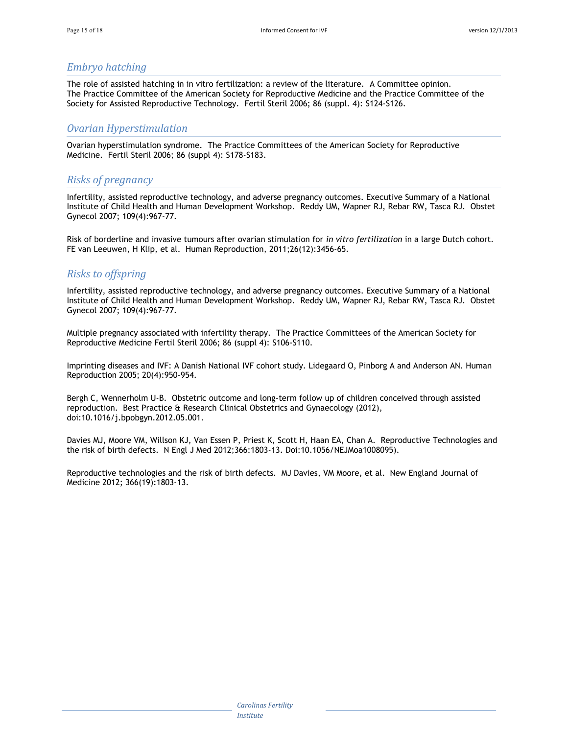#### *Embryo hatching*

The role of assisted hatching in in vitro fertilization: a review of the literature. A Committee opinion. The Practice Committee of the American Society for Reproductive Medicine and the Practice Committee of the Society for Assisted Reproductive Technology. Fertil Steril 2006; 86 (suppl. 4): S124-S126.

#### *Ovarian Hyperstimulation*

Ovarian hyperstimulation syndrome. The Practice Committees of the American Society for Reproductive Medicine. Fertil Steril 2006; 86 (suppl 4): S178-S183.

#### *Risks of pregnancy*

Infertility, assisted reproductive technology, and adverse pregnancy outcomes. Executive Summary of a National Institute of Child Health and Human Development Workshop. Reddy UM, Wapner RJ, Rebar RW, Tasca RJ. Obstet Gynecol 2007; 109(4):967-77.

Risk of borderline and invasive tumours after ovarian stimulation for *in vitro fertilization* in a large Dutch cohort. FE van Leeuwen, H Klip, et al. Human Reproduction, 2011;26(12):3456-65.

#### *Risks to offspring*

Infertility, assisted reproductive technology, and adverse pregnancy outcomes. Executive Summary of a National Institute of Child Health and Human Development Workshop. Reddy UM, Wapner RJ, Rebar RW, Tasca RJ. Obstet Gynecol 2007; 109(4):967-77.

Multiple pregnancy associated with infertility therapy. The Practice Committees of the American Society for Reproductive Medicine Fertil Steril 2006; 86 (suppl 4): S106-S110.

Imprinting diseases and IVF: A Danish National IVF cohort study. Lidegaard O, Pinborg A and Anderson AN. Human Reproduction 2005; 20(4):950-954.

Bergh C, Wennerholm U-B. Obstetric outcome and long-term follow up of children conceived through assisted reproduction. Best Practice & Research Clinical Obstetrics and Gynaecology (2012), doi:10.1016/j.bpobgyn.2012.05.001.

Davies MJ, Moore VM, Willson KJ, Van Essen P, Priest K, Scott H, Haan EA, Chan A. Reproductive Technologies and the risk of birth defects. N Engl J Med 2012;366:1803-13. Doi:10.1056/NEJMoa1008095).

Reproductive technologies and the risk of birth defects. MJ Davies, VM Moore, et al. New England Journal of Medicine 2012; 366(19):1803-13.

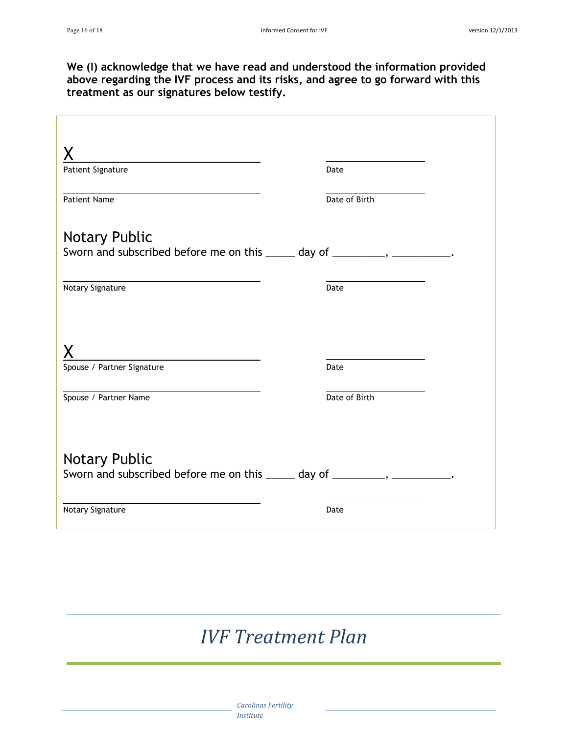#### **We (I) acknowledge that we have read and understood the information provided above regarding the IVF process and its risks, and agree to go forward with this treatment as our signatures below testify.**

| Patient Signature                                                                                                                               | Date          |
|-------------------------------------------------------------------------------------------------------------------------------------------------|---------------|
| <b>Patient Name</b>                                                                                                                             | Date of Birth |
| <b>Notary Public</b>                                                                                                                            |               |
| Sworn and subscribed before me on this _____ day of _________, __________.                                                                      |               |
| Notary Signature                                                                                                                                | Date          |
| Spouse / Partner Signature                                                                                                                      | Date          |
|                                                                                                                                                 |               |
| <u> 1989 - Johann Stoff, deutscher Stoffen und der Stoffen und der Stoffen und der Stoffen und der Stoffen und der</u><br>Spouse / Partner Name | Date of Birth |
| <b>Notary Public</b><br>Sworn and subscribed before me on this _____ day of ________, _________.                                                |               |
| Notary Signature                                                                                                                                | Date          |

# *IVF Treatment Plan*

*Carolinas Fertility Institute*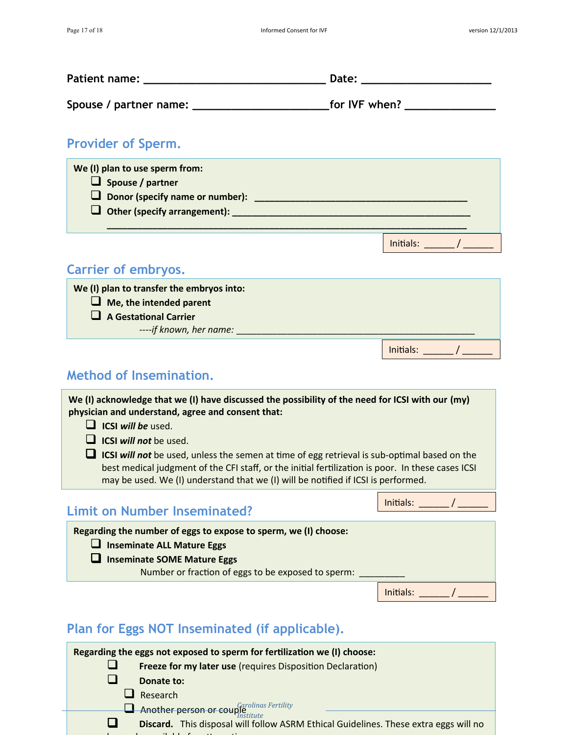| Patient name:          | Date:         |  |
|------------------------|---------------|--|
| Spouse / partner name: | for IVF when? |  |

## **Provider of Sperm.**

| We (I) plan to use sperm from:<br>$\Box$ Spouse / partner<br>$\Box$ Donor (specify name or number):<br>$\Box$ Other (specify arrangement): |           |
|--------------------------------------------------------------------------------------------------------------------------------------------|-----------|
|                                                                                                                                            | Initials: |

# **Carrier of embryos.**

| We (I) plan to transfer the embryos into:<br>$\Box$ Me, the intended parent |           |
|-----------------------------------------------------------------------------|-----------|
| <b>A Gestational Carrier</b><br>----if known, her name:                     |           |
|                                                                             | Initials: |

## **Method of Insemination.**

| We (I) acknowledge that we (I) have discussed the possibility of the need for ICSI with our $(my)$ |  |
|----------------------------------------------------------------------------------------------------|--|
| physician and understand, agree and consent that:                                                  |  |

 **ICSI** *will be* used.

- **ICSI** *will not* be used.
- **ICSI** *will not* be used, unless the semen at time of egg retrieval is sub-optimal based on the best medical judgment of the CFI staff, or the initial fertilization is poor. In these cases ICSI may be used. We (I) understand that we (I) will be notified if ICSI is performed.

## **Limit on Number Inseminated?**

**Contract Contract** 

| Regarding the number of eggs to expose to sperm, we (I) choose: |           |
|-----------------------------------------------------------------|-----------|
| <b>Inseminate ALL Mature Eggs</b>                               |           |
| <b>Inseminate SOME Mature Eggs</b>                              |           |
| Number or fraction of eggs to be exposed to sperm:              |           |
|                                                                 | Initials: |

## **Plan for Eggs NOT Inseminated (if applicable).**

| Regarding the eggs not exposed to sperm for fertilization we (I) choose: |                                                                                      |  |  |
|--------------------------------------------------------------------------|--------------------------------------------------------------------------------------|--|--|
|                                                                          | <b>Freeze for my later use (requires Disposition Declaration)</b>                    |  |  |
|                                                                          | Donate to:                                                                           |  |  |
|                                                                          | Research                                                                             |  |  |
|                                                                          | <b>Another person or couple</b> <i>parolinas Fertility</i>                           |  |  |
|                                                                          | Discard. This disposal will follow ASRM Ethical Guidelines. These extra eggs will no |  |  |